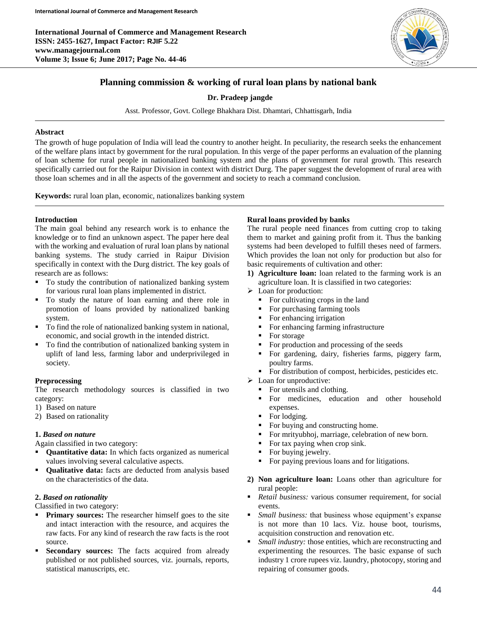**International Journal of Commerce and Management Research ISSN: 2455-1627, Impact Factor: RJIF 5.22 www.managejournal.com Volume 3; Issue 6; June 2017; Page No. 44-46**



# **Planning commission & working of rural loan plans by national bank**

### **Dr. Pradeep jangde**

Asst. Professor, Govt. College Bhakhara Dist. Dhamtari, Chhattisgarh, India

### **Abstract**

The growth of huge population of India will lead the country to another height. In peculiarity, the research seeks the enhancement of the welfare plans intact by government for the rural population. In this verge of the paper performs an evaluation of the planning of loan scheme for rural people in nationalized banking system and the plans of government for rural growth. This research specifically carried out for the Raipur Division in context with district Durg. The paper suggest the development of rural area with those loan schemes and in all the aspects of the government and society to reach a command conclusion.

**Keywords:** rural loan plan, economic, nationalizes banking system

### **Introduction**

The main goal behind any research work is to enhance the knowledge or to find an unknown aspect. The paper here deal with the working and evaluation of rural loan plans by national banking systems. The study carried in Raipur Division specifically in context with the Durg district. The key goals of research are as follows:

- To study the contribution of nationalized banking system for various rural loan plans implemented in district.
- To study the nature of loan earning and there role in promotion of loans provided by nationalized banking system.
- To find the role of nationalized banking system in national, economic, and social growth in the intended district.
- To find the contribution of nationalized banking system in uplift of land less, farming labor and underprivileged in society.

# **Preprocessing**

The research methodology sources is classified in two category:

- 1) Based on nature
- 2) Based on rationality

# **1.** *Based on nature*

Again classified in two category:

- **Quantitative data:** In which facts organized as numerical values involving several calculative aspects.
- **Qualitative data:** facts are deducted from analysis based on the characteristics of the data.

# **2.** *Based on rationality*

Classified in two category:

- **Primary sources:** The researcher himself goes to the site and intact interaction with the resource, and acquires the raw facts. For any kind of research the raw facts is the root source.
- Secondary sources: The facts acquired from already published or not published sources, viz. journals, reports, statistical manuscripts, etc.

# **Rural loans provided by banks**

The rural people need finances from cutting crop to taking them to market and gaining profit from it. Thus the banking systems had been developed to fulfill theses need of farmers. Which provides the loan not only for production but also for basic requirements of cultivation and other:

- **1) Agriculture loan:** loan related to the farming work is an agriculture loan. It is classified in two categories:
- > Loan for production:
	- $\blacksquare$  For cultivating crops in the land
	- For purchasing farming tools
	- For enhancing irrigation
	- For enhancing farming infrastructure
	- For storage
	- For production and processing of the seeds
	- For gardening, dairy, fisheries farms, piggery farm, poultry farms.
	- For distribution of compost, herbicides, pesticides etc.
- $\triangleright$  Loan for unproductive:
	- For utensils and clothing.
	- For medicines, education and other household expenses.
	- For lodging.
	- For buying and constructing home.
	- For mrityubhoj, marriage, celebration of new born.
	- For tax paying when crop sink.
	- For buying jewelry.
	- For paying previous loans and for litigations.
- **2) Non agriculture loan:** Loans other than agriculture for rural people:
- *Retail business:* various consumer requirement, for social events.
- *Small business:* that business whose equipment's expanse is not more than 10 lacs. Viz. house boot, tourisms, acquisition construction and renovation etc.
- **F** *Small industry:* those entities, which are reconstructing and experimenting the resources. The basic expanse of such industry 1 crore rupees viz. laundry, photocopy, storing and repairing of consumer goods.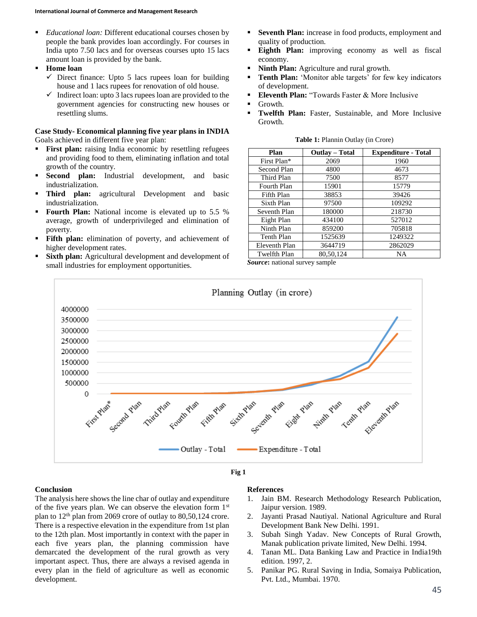- *Educational loan:* Different educational courses chosen by people the bank provides loan accordingly. For courses in India upto 7.50 lacs and for overseas courses upto 15 lacs amount loan is provided by the bank.
- **Home loan**
	- $\checkmark$  Direct finance: Upto 5 lacs rupees loan for building house and 1 lacs rupees for renovation of old house.
	- $\checkmark$  Indirect loan: upto 3 lacs rupees loan are provided to the government agencies for constructing new houses or resettling slums.

#### **Case Study- Economical planning five year plans in INDIA** Goals achieved in different five year plan:

- **First plan:** raising India economic by resettling refugees and providing food to them, eliminating inflation and total growth of the country.
- **Second plan:** Industrial development, and basic industrialization.
- **Third plan:** agricultural Development and basic industrialization.
- **Fourth Plan:** National income is elevated up to 5.5 % average, growth of underprivileged and elimination of poverty.
- **Fifth plan:** elimination of poverty, and achievement of higher development rates.
- **Sixth plan:** Agricultural development and development of small industries for employment opportunities.
- **Seventh Plan:** increase in food products, employment and quality of production.
- **Eighth Plan:** improving economy as well as fiscal economy.
- **Ninth Plan:** Agriculture and rural growth.
- **Tenth Plan:** 'Monitor able targets' for few key indicators of development.
- **Eleventh Plan:** "Towards Faster & More Inclusive
- **Growth.**
- **Twelfth Plan:** Faster, Sustainable, and More Inclusive Growth.

| Plan                | <b>Outlay</b> – Total | <b>Expenditure - Total</b> |
|---------------------|-----------------------|----------------------------|
| First Plan*         | 2069                  | 1960                       |
| Second Plan         | 4800                  | 4673                       |
| Third Plan          | 7500                  | 8577                       |
| Fourth Plan         | 15901                 | 15779                      |
| Fifth Plan          | 38853                 | 39426                      |
| Sixth Plan          | 97500                 | 109292                     |
| Seventh Plan        | 180000                | 218730                     |
| Eight Plan          | 434100                | 527012                     |
| Ninth Plan          | 859200                | 705818                     |
| Tenth Plan          | 1525639               | 1249322                    |
| Eleventh Plan       | 3644719               | 2862029                    |
| <b>Twelfth Plan</b> | 80,50,124             | <b>NA</b>                  |

**Table 1:** Plannin Outlay (in Crore)

*Source***:** national survey sample



#### **Fig 1**

#### **Conclusion**

The analysis here shows the line char of outlay and expenditure of the five years plan. We can observe the elevation form 1st plan to  $12<sup>th</sup>$  plan from 2069 crore of outlay to 80,50,124 crore. There is a respective elevation in the expenditure from 1st plan to the 12th plan. Most importantly in context with the paper in each five years plan, the planning commission have demarcated the development of the rural growth as very important aspect. Thus, there are always a revised agenda in every plan in the field of agriculture as well as economic development.

#### **References**

- 1. Jain BM. Research Methodology Research Publication, Jaipur version. 1989.
- 2. Jayanti Prasad Nautiyal. National Agriculture and Rural Development Bank New Delhi. 1991.
- 3. Subah Singh Yadav. New Concepts of Rural Growth, Manak publication private limited, New Delhi. 1994.
- 4. Tanan ML. Data Banking Law and Practice in India19th edition. 1997, 2.
- 5. Panikar PG. Rural Saving in India, Somaiya Publication, Pvt. Ltd., Mumbai. 1970.